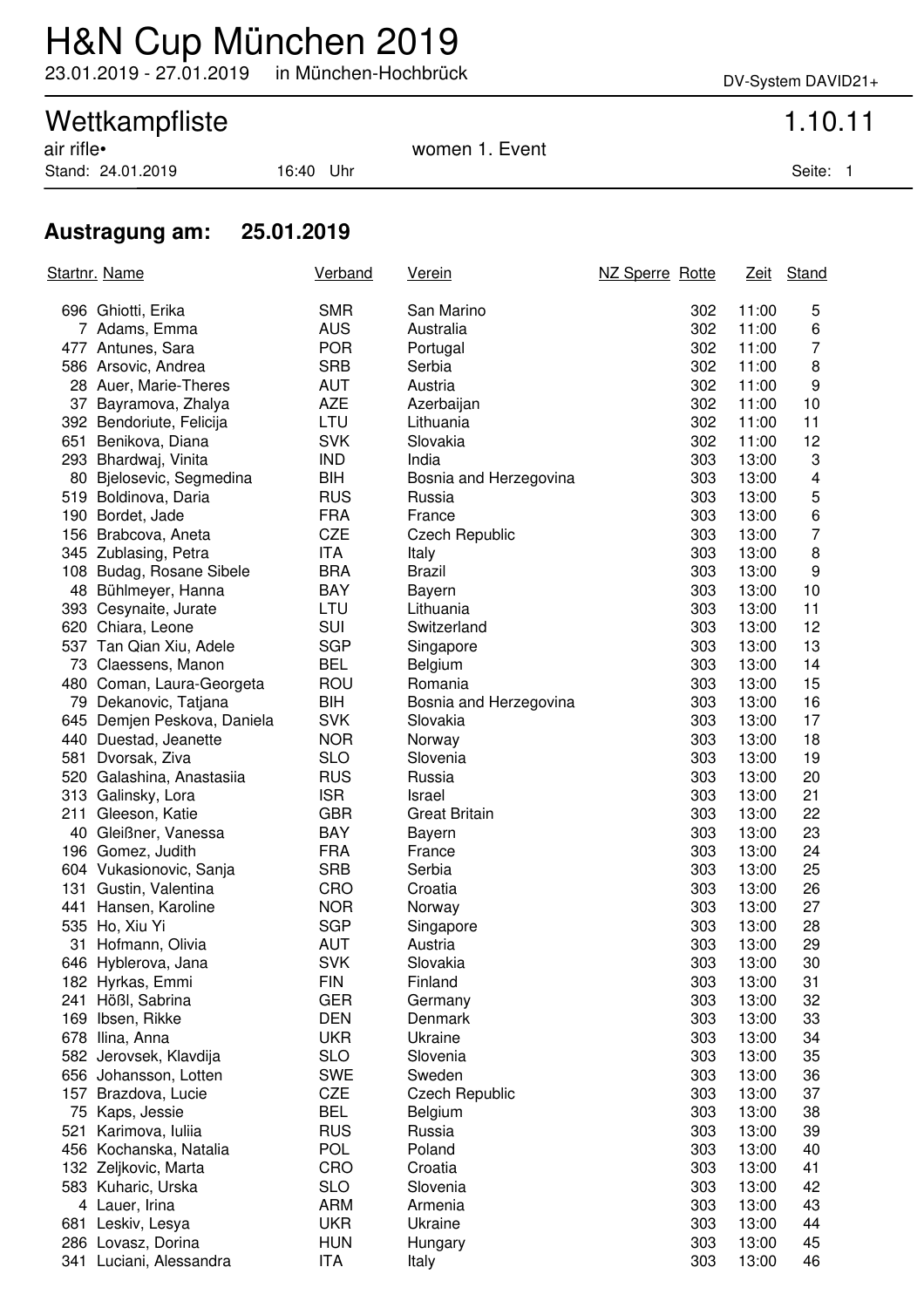### H&N Cup München 2019

23.01.2019 - 27.01.2019 in München-Hochbrück DV-System DAVID21+

# Wettkampfliste 1.10.11<br>
air rifle• 1.5 Normen 1.5 Event

Stand: 24.01.2019 16:40 Uhr Seite: 1

women 1. Event

### **Austragung am: 25.01.2019**

| Startnr. Name |                             | Verband    | <u>Verein</u>          | NZ Sperre Rotte |       | Zeit Stand     |
|---------------|-----------------------------|------------|------------------------|-----------------|-------|----------------|
|               | 696 Ghiotti, Erika          | <b>SMR</b> | San Marino             | 302             | 11:00 | 5              |
|               | 7 Adams, Emma               | <b>AUS</b> | Australia              | 302             | 11:00 | 6              |
|               | 477 Antunes, Sara           | <b>POR</b> | Portugal               | 302             | 11:00 | 7              |
|               | 586 Arsovic, Andrea         | <b>SRB</b> | Serbia                 | 302             | 11:00 | 8              |
|               | 28 Auer, Marie-Theres       | AUT        | Austria                | 302             | 11:00 | 9              |
|               | 37 Bayramova, Zhalya        | <b>AZE</b> | Azerbaijan             | 302             | 11:00 | 10             |
|               | 392 Bendoriute, Felicija    | LTU        | Lithuania              | 302             | 11:00 | 11             |
|               | 651 Benikova, Diana         | <b>SVK</b> | Slovakia               | 302             | 11:00 | 12             |
|               | 293 Bhardwaj, Vinita        | <b>IND</b> | India                  | 303             | 13:00 | 3              |
|               | 80 Bjelosevic, Segmedina    | BIH        | Bosnia and Herzegovina | 303             | 13:00 | 4              |
|               | 519 Boldinova, Daria        | <b>RUS</b> | Russia                 | 303             | 13:00 | 5              |
|               | 190 Bordet, Jade            | <b>FRA</b> | France                 | 303             | 13:00 | 6              |
|               | 156 Brabcova, Aneta         | <b>CZE</b> | <b>Czech Republic</b>  | 303             | 13:00 | $\overline{7}$ |
|               | 345 Zublasing, Petra        | ITA        | Italy                  | 303             | 13:00 | 8              |
|               | 108 Budag, Rosane Sibele    | <b>BRA</b> | <b>Brazil</b>          | 303             | 13:00 | 9              |
|               | 48 Bühlmeyer, Hanna         | BAY        | Bayern                 | 303             | 13:00 | 10             |
|               | 393 Cesynaite, Jurate       | LTU        | Lithuania              | 303             | 13:00 | 11             |
|               | 620 Chiara, Leone           | SUI        | Switzerland            | 303             | 13:00 | 12             |
|               | 537 Tan Qian Xiu, Adele     | <b>SGP</b> | Singapore              | 303             | 13:00 | 13             |
|               | 73 Claessens, Manon         | <b>BEL</b> | Belgium                | 303             | 13:00 | 14             |
|               | 480 Coman, Laura-Georgeta   | <b>ROU</b> | Romania                | 303             | 13:00 | 15             |
|               | 79 Dekanovic, Tatjana       | BIH        | Bosnia and Herzegovina | 303             | 13:00 | 16             |
|               | 645 Demjen Peskova, Daniela | <b>SVK</b> | Slovakia               | 303             | 13:00 | 17             |
|               | 440 Duestad, Jeanette       | <b>NOR</b> | Norway                 | 303             | 13:00 | 18             |
|               | 581 Dvorsak, Ziva           | <b>SLO</b> | Slovenia               | 303             | 13:00 | 19             |
|               | 520 Galashina, Anastasiia   | <b>RUS</b> | Russia                 | 303             | 13:00 | 20             |
|               | 313 Galinsky, Lora          | <b>ISR</b> | Israel                 | 303             | 13:00 | 21             |
|               | 211 Gleeson, Katie          | <b>GBR</b> | <b>Great Britain</b>   | 303             | 13:00 | 22             |
|               | 40 Gleißner, Vanessa        | BAY        | Bayern                 | 303             | 13:00 | 23             |
|               | 196 Gomez, Judith           | <b>FRA</b> | France                 | 303             | 13:00 | 24             |
|               | 604 Vukasionovic, Sanja     | <b>SRB</b> | Serbia                 | 303             | 13:00 | 25             |
|               | 131 Gustin, Valentina       | CRO        | Croatia                | 303             | 13:00 | 26             |
|               | 441 Hansen, Karoline        | <b>NOR</b> | Norway                 | 303             | 13:00 | 27             |
|               | 535 Ho, Xiu Yi              | <b>SGP</b> | Singapore              | 303             | 13:00 | 28             |
|               | 31 Hofmann, Olivia          | <b>AUT</b> | Austria                | 303             | 13:00 | 29             |
|               | 646 Hyblerova, Jana         | <b>SVK</b> | Slovakia               | 303             | 13:00 | 30             |
|               | 182 Hyrkas, Emmi            | <b>FIN</b> | Finland                | 303             | 13:00 | 31             |
|               | 241 Hößl, Sabrina           | <b>GER</b> | Germany                | 303             | 13:00 | 32             |
|               | 169 Ibsen, Rikke            | <b>DEN</b> | Denmark                | 303             | 13:00 | 33             |
|               | 678 Ilina, Anna             | <b>UKR</b> | Ukraine                | 303             | 13:00 | 34             |
|               | 582 Jerovsek, Klavdija      | <b>SLO</b> | Slovenia               | 303             | 13:00 | 35             |
|               | 656 Johansson, Lotten       | <b>SWE</b> | Sweden                 | 303             | 13:00 | 36             |
|               | 157 Brazdova, Lucie         | <b>CZE</b> | <b>Czech Republic</b>  | 303             | 13:00 | 37             |
|               | 75 Kaps, Jessie             | <b>BEL</b> | Belgium                | 303             | 13:00 | 38             |
|               | 521 Karimova, Iuliia        | <b>RUS</b> | Russia                 | 303             | 13:00 | 39             |
|               | 456 Kochanska, Natalia      | <b>POL</b> | Poland                 | 303             | 13:00 | 40             |
|               | 132 Zeljkovic, Marta        | CRO        | Croatia                | 303             | 13:00 | 41             |
|               | 583 Kuharic, Urska          | <b>SLO</b> | Slovenia               | 303             | 13:00 | 42             |
|               | 4 Lauer, Irina              | <b>ARM</b> | Armenia                | 303             | 13:00 | 43             |
|               | 681 Leskiv, Lesya           | <b>UKR</b> | Ukraine                | 303             | 13:00 | 44             |
|               | 286 Lovasz, Dorina          | <b>HUN</b> | Hungary                | 303             | 13:00 | 45             |
|               | 341 Luciani, Alessandra     | <b>ITA</b> | Italy                  | 303             | 13:00 | 46             |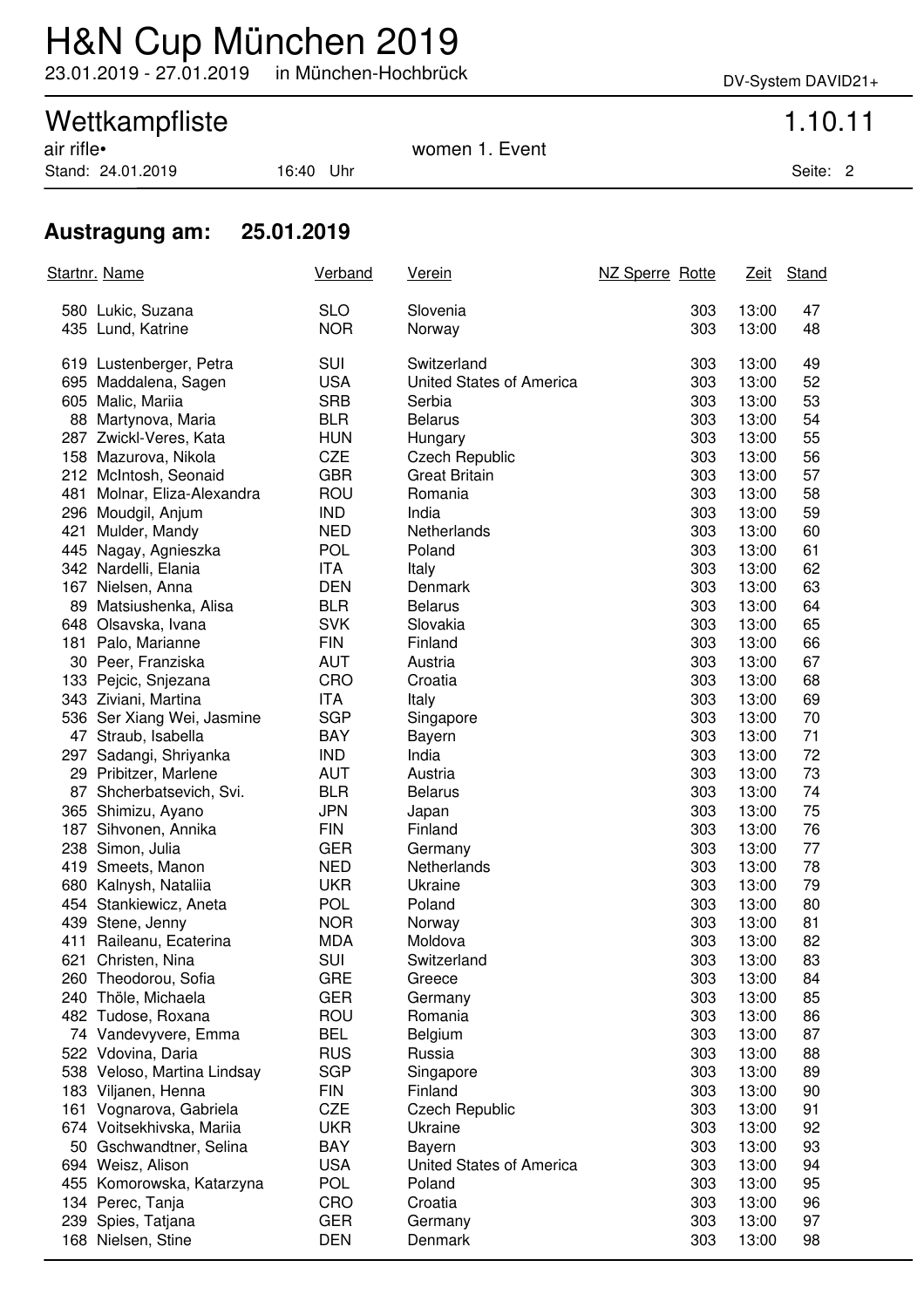## H&N Cup München 2019

23.01.2019 - 27.01.2019 in München-Hochbrück DV-System DAVID21+

Wettkampfliste 1.10.11<br>
air rifle• 1.5 Normen 1.5 Event women 1. Event

Stand: 24.01.2019 16:40 Uhr Seite: 2

### **Austragung am: 25.01.2019**

|     | <u>Startnr. Name</u>                   | Verband                  | <u>Verein</u>            | NZ Sperre Rotte | <u>Zeit</u>    | Stand    |
|-----|----------------------------------------|--------------------------|--------------------------|-----------------|----------------|----------|
|     | 580 Lukic, Suzana<br>435 Lund, Katrine | <b>SLO</b><br><b>NOR</b> | Slovenia<br>Norway       | 303<br>303      | 13:00<br>13:00 | 47<br>48 |
|     | 619 Lustenberger, Petra                | SUI                      | Switzerland              | 303             | 13:00          | 49       |
|     | 695 Maddalena, Sagen                   | <b>USA</b>               | United States of America | 303             | 13:00          | 52       |
|     | 605 Malic, Mariia                      | <b>SRB</b>               | Serbia                   | 303             | 13:00          | 53       |
|     | 88 Martynova, Maria                    | <b>BLR</b>               | <b>Belarus</b>           | 303             | 13:00          | 54       |
|     | 287 Zwickl-Veres, Kata                 | <b>HUN</b>               | Hungary                  | 303             | 13:00          | 55       |
|     | 158 Mazurova, Nikola                   | <b>CZE</b>               | <b>Czech Republic</b>    | 303             | 13:00          | 56       |
|     | 212 McIntosh, Seonaid                  | <b>GBR</b>               | <b>Great Britain</b>     | 303             | 13:00          | 57       |
| 481 | Molnar, Eliza-Alexandra                | ROU                      | Romania                  | 303             | 13:00          | 58       |
|     | 296 Moudgil, Anjum                     | <b>IND</b>               | India                    | 303             | 13:00          | 59       |
| 421 | Mulder, Mandy                          | <b>NED</b>               | Netherlands              | 303             | 13:00          | 60       |
|     | 445 Nagay, Agnieszka                   | <b>POL</b>               | Poland                   | 303             | 13:00          | 61       |
|     | 342 Nardelli, Elania                   | ITA                      | Italy                    | 303             | 13:00          | 62       |
|     | 167 Nielsen, Anna                      | <b>DEN</b>               | Denmark                  | 303             | 13:00          | 63       |
|     | 89 Matsiushenka, Alisa                 | <b>BLR</b>               | <b>Belarus</b>           | 303             | 13:00          | 64       |
|     | 648 Olsavska, Ivana                    | <b>SVK</b>               | Slovakia                 | 303             | 13:00          | 65       |
|     | 181 Palo, Marianne                     | <b>FIN</b>               | Finland                  | 303             | 13:00          | 66       |
|     | 30 Peer, Franziska                     | <b>AUT</b>               | Austria                  | 303             | 13:00          | 67       |
|     | 133 Pejcic, Snjezana                   | CRO                      | Croatia                  | 303             | 13:00          | 68       |
|     | 343 Ziviani, Martina                   | ITA                      | Italy                    | 303             | 13:00          | 69       |
|     | 536 Ser Xiang Wei, Jasmine             | <b>SGP</b>               | Singapore                | 303             | 13:00          | 70       |
|     | 47 Straub, Isabella                    | <b>BAY</b>               | Bayern                   | 303             | 13:00          | 71       |
|     | 297 Sadangi, Shriyanka                 | <b>IND</b>               | India                    | 303             | 13:00          | 72       |
|     | 29 Pribitzer, Marlene                  | <b>AUT</b>               | Austria                  | 303             | 13:00          | 73       |
|     | 87 Shcherbatsevich, Svi.               | <b>BLR</b>               | <b>Belarus</b>           | 303             | 13:00          | 74       |
|     | 365 Shimizu, Ayano                     | <b>JPN</b>               | Japan                    | 303             | 13:00          | 75       |
|     | 187 Sihvonen, Annika                   | <b>FIN</b>               | Finland                  | 303             | 13:00          | 76       |
|     | 238 Simon, Julia                       | <b>GER</b>               | Germany                  | 303             | 13:00          | 77       |
|     | 419 Smeets, Manon                      | <b>NED</b>               | Netherlands              | 303             | 13:00          | 78       |
|     | 680 Kalnysh, Nataliia                  | <b>UKR</b>               | Ukraine                  | 303             | 13:00          | 79       |
|     | 454 Stankiewicz, Aneta                 | <b>POL</b>               | Poland                   | 303             | 13:00          | 80       |
|     | 439 Stene, Jenny                       | <b>NOR</b>               | Norway                   | 303             | 13:00          | 81       |
|     | 411 Raileanu, Ecaterina                | <b>MDA</b>               | Moldova                  | 303             | 13:00          | 82       |
|     | 621 Christen, Nina                     | SUI                      | Switzerland              | 303             | 13:00          | 83       |
|     | 260 Theodorou, Sofia                   | <b>GRE</b>               | Greece                   | 303             | 13:00          | 84       |
|     | 240 Thöle, Michaela                    | <b>GER</b>               | Germany                  | 303             | 13:00          | 85       |
|     | 482 Tudose, Roxana                     | <b>ROU</b>               | Romania                  | 303             | 13:00          | 86       |
|     | 74 Vandevyvere, Emma                   | <b>BEL</b>               | Belgium                  | 303             | 13:00          | 87       |
|     | 522 Vdovina, Daria                     | <b>RUS</b>               | Russia                   | 303             | 13:00          | 88       |
|     | 538 Veloso, Martina Lindsay            | <b>SGP</b>               | Singapore                | 303             | 13:00          | 89       |
|     | 183 Viljanen, Henna                    | <b>FIN</b>               | Finland                  | 303             | 13:00          | 90       |
|     | 161 Vognarova, Gabriela                | <b>CZE</b>               | <b>Czech Republic</b>    | 303             | 13:00          | 91       |
|     | 674 Voitsekhivska, Mariia              | <b>UKR</b>               | Ukraine                  | 303             | 13:00          | 92       |
|     | 50 Gschwandtner, Selina                | BAY                      | Bayern                   | 303             | 13:00          | 93       |
|     | 694 Weisz, Alison                      | <b>USA</b>               | United States of America | 303             | 13:00          | 94       |
|     | 455 Komorowska, Katarzyna              | POL                      | Poland                   | 303             | 13:00          | 95       |
|     | 134 Perec, Tanja                       | CRO                      | Croatia                  | 303             | 13:00          | 96       |
| 239 | Spies, Tatjana                         | <b>GER</b>               | Germany                  | 303             | 13:00          | 97       |
|     | 168 Nielsen, Stine                     | <b>DEN</b>               | Denmark                  | 303             | 13:00          | 98       |
|     |                                        |                          |                          |                 |                |          |